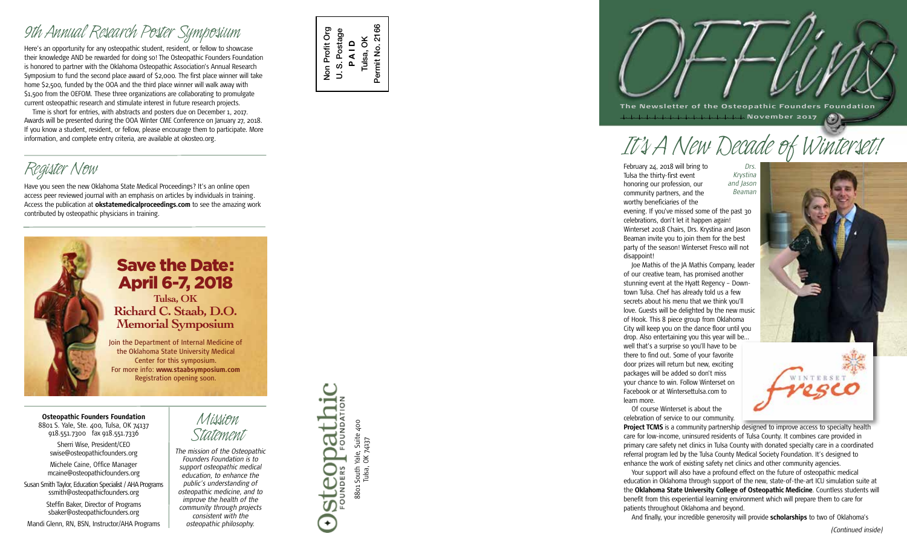Here's an opportunity for any osteopathic student, resident, or fellow to showcase *9th Annual Research Poster Symposium*their knowledge AND be rewarded for doing so! The Osteopathic Founders Foundation is honored to partner with the Oklahoma Osteopathic Association's Annual Research Symposium to fund the second place award of \$2,000. The first place winner will take home \$2,500, funded by the OOA and the third place winner will walk away with \$1,500 from the OEFOM. These three organizations are collaborating to promulgate current osteopathic research and stimulate interest in future research projects.

Time is short for entries, with abstracts and posters due on December 1, 2017. Awards will be presented during the OOA Winter CME Conference on January 27, 2018. If you know a student, resident, or fellow, please encourage them to participate. More information, and complete entry criteria, are available at okosteo.org.

Have you seen the new Oklahoma State Medical Proceedings? It's an online open *Register Now* access peer reviewed journal with an emphasis on articles by individuals in training. Access the publication at **okstatemedicalproceedings.com** to see the amazing work contributed by osteopathic physicians in training.



## Save the Date: April 6-7, 2018 **Tulsa, OK**

**Richard C. Staab, D.O. Memorial Symposium**

Join the Department of Internal Medicine of the Oklahoma State University Medical Center for this symposium. For more info: **www.staabsymposium.com**  Registration opening soon.

**Osteopathic Founders Foundation** 8801 S. Yale, Ste. 400, Tulsa, OK 74137 918.551.7300 fax 918.551.7336

Sherri Wise, President/CEO swise@osteopathicfounders.org

Michele Caine, Office Manager mcaine@osteopathicfounders.org

Susan Smith Taylor, Education Specialist / AHA Programs ssmith@osteopathicfounders.org

Steffin Baker, Director of Programs sbaker@osteopathicfounders.org Mandi Glenn, RN, BSN, Instructor/AHA Programs *Mission*

*osteopathic philosophy.*

*Statement The mission of the Osteopathic Founders Foundation is to support osteopathic medical education, to enhance the public's understanding of osteopathic medicine, and to improve the health of the community through projects consistent with the*



Non Profit Org U. S. Postage **P A I D** Tulsa, OK Permit No. 2166

 $\overline{a}$ 

Non Profit Org S. Postage 2166

Permit No.

FOUNDATION 8801 South Yale, Suite 400<br>Tulsa, OK 74137 8801 South Yale, Suite 400 **Steopa** Tulsa, OK 74137  $\leftarrow$ 

**The Newsletter of the Osteopathic Founders Foundation November 2017**

# *It's A New Decade of Winterset! Drs.*

February 24, 2018 will bring to Tulsa the thirty-first event honoring our profession, our community partners, and the worthy beneficiaries of the evening. If you've missed some of the past 30 *Krystina and Jason Beaman*

celebrations, don't let it happen again! Winterset 2018 Chairs, Drs. Krystina and Jason Beaman invite you to join them for the best party of the season! Winterset Fresco will not disappoint!

Joe Mathis of the JA Mathis Company, leader of our creative team, has promised another stunning event at the Hyatt Regency – Down town Tulsa. Chef has already told us a few secrets about his menu that we think you'll love. Guests will be delighted by the new music of Hook. This 8 piece group from Oklahoma City will keep you on the dance floor until you drop. Also entertaining you this year will be… well that's a surprise so you'll have to be there to find out. Some of your favorite door prizes will return but new, exciting packages will be added so don't miss your chance to win. Follow Winterset on Facebook or at Wintersettulsa.com to learn more.

Of course Winterset is about the celebration of service to our community.

**Project TCMS** is a community partnership designed to improve access to specialty health care for low-income, uninsured residents of Tulsa County. It combines care provided in primary care safety net clinics in Tulsa County with donated specialty care in a coordinated referral program led by the Tulsa County Medical Society Foundation. It's designed to enhance the work of existing safety net clinics and other community agencies.

Your support will also have a profound effect on the future of osteopathic medical education in Oklahoma through support of the new, state-of-the-art ICU simulation suite at the **Oklahoma State University College of Osteopathic Medicine**. Countless students will benefit from this experiential learning environment which will prepare them to care for patients throughout Oklahoma and beyond.

And finally, your incredible generosity will provide **scholarships** to two of Oklahoma's





*(Continued inside)*